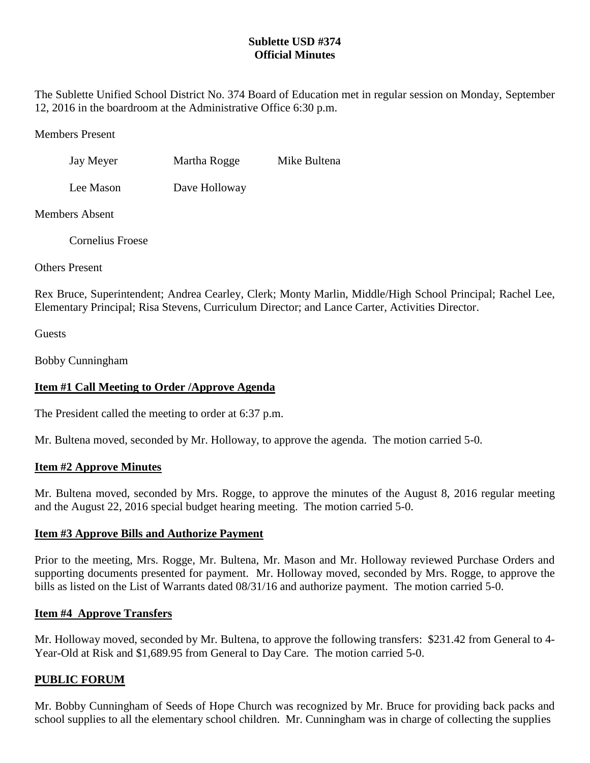# **Sublette USD #374 Official Minutes**

The Sublette Unified School District No. 374 Board of Education met in regular session on Monday, September 12, 2016 in the boardroom at the Administrative Office 6:30 p.m.

### Members Present

| Jay Meyer | Martha Rogge | Mike Bultena |
|-----------|--------------|--------------|
|           |              |              |

Lee Mason Dave Holloway

## Members Absent

Cornelius Froese

Others Present

Rex Bruce, Superintendent; Andrea Cearley, Clerk; Monty Marlin, Middle/High School Principal; Rachel Lee, Elementary Principal; Risa Stevens, Curriculum Director; and Lance Carter, Activities Director.

**Guests** 

Bobby Cunningham

# **Item #1 Call Meeting to Order /Approve Agenda**

The President called the meeting to order at 6:37 p.m.

Mr. Bultena moved, seconded by Mr. Holloway, to approve the agenda. The motion carried 5-0.

## **Item #2 Approve Minutes**

Mr. Bultena moved, seconded by Mrs. Rogge, to approve the minutes of the August 8, 2016 regular meeting and the August 22, 2016 special budget hearing meeting. The motion carried 5-0.

## **Item #3 Approve Bills and Authorize Payment**

Prior to the meeting, Mrs. Rogge, Mr. Bultena, Mr. Mason and Mr. Holloway reviewed Purchase Orders and supporting documents presented for payment. Mr. Holloway moved, seconded by Mrs. Rogge, to approve the bills as listed on the List of Warrants dated 08/31/16 and authorize payment. The motion carried 5-0.

## **Item #4 Approve Transfers**

Mr. Holloway moved, seconded by Mr. Bultena, to approve the following transfers: \$231.42 from General to 4- Year-Old at Risk and \$1,689.95 from General to Day Care. The motion carried 5-0.

# **PUBLIC FORUM**

Mr. Bobby Cunningham of Seeds of Hope Church was recognized by Mr. Bruce for providing back packs and school supplies to all the elementary school children. Mr. Cunningham was in charge of collecting the supplies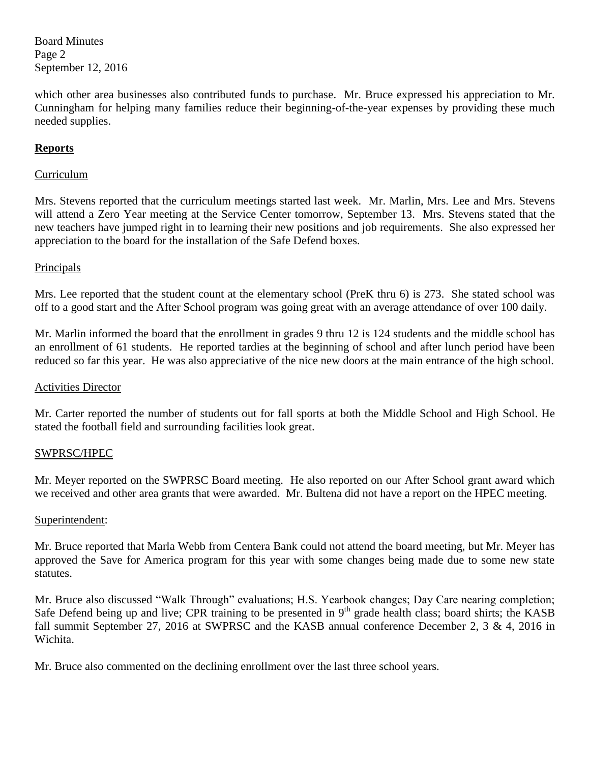Board Minutes Page 2 September 12, 2016

which other area businesses also contributed funds to purchase. Mr. Bruce expressed his appreciation to Mr. Cunningham for helping many families reduce their beginning-of-the-year expenses by providing these much needed supplies.

# **Reports**

## Curriculum

Mrs. Stevens reported that the curriculum meetings started last week. Mr. Marlin, Mrs. Lee and Mrs. Stevens will attend a Zero Year meeting at the Service Center tomorrow, September 13. Mrs. Stevens stated that the new teachers have jumped right in to learning their new positions and job requirements. She also expressed her appreciation to the board for the installation of the Safe Defend boxes.

## Principals

Mrs. Lee reported that the student count at the elementary school (PreK thru 6) is 273. She stated school was off to a good start and the After School program was going great with an average attendance of over 100 daily.

Mr. Marlin informed the board that the enrollment in grades 9 thru 12 is 124 students and the middle school has an enrollment of 61 students. He reported tardies at the beginning of school and after lunch period have been reduced so far this year. He was also appreciative of the nice new doors at the main entrance of the high school.

#### Activities Director

Mr. Carter reported the number of students out for fall sports at both the Middle School and High School. He stated the football field and surrounding facilities look great.

## SWPRSC/HPEC

Mr. Meyer reported on the SWPRSC Board meeting. He also reported on our After School grant award which we received and other area grants that were awarded. Mr. Bultena did not have a report on the HPEC meeting.

#### Superintendent:

Mr. Bruce reported that Marla Webb from Centera Bank could not attend the board meeting, but Mr. Meyer has approved the Save for America program for this year with some changes being made due to some new state statutes.

Mr. Bruce also discussed "Walk Through" evaluations; H.S. Yearbook changes; Day Care nearing completion; Safe Defend being up and live; CPR training to be presented in 9<sup>th</sup> grade health class; board shirts; the KASB fall summit September 27, 2016 at SWPRSC and the KASB annual conference December 2, 3 & 4, 2016 in Wichita.

Mr. Bruce also commented on the declining enrollment over the last three school years.